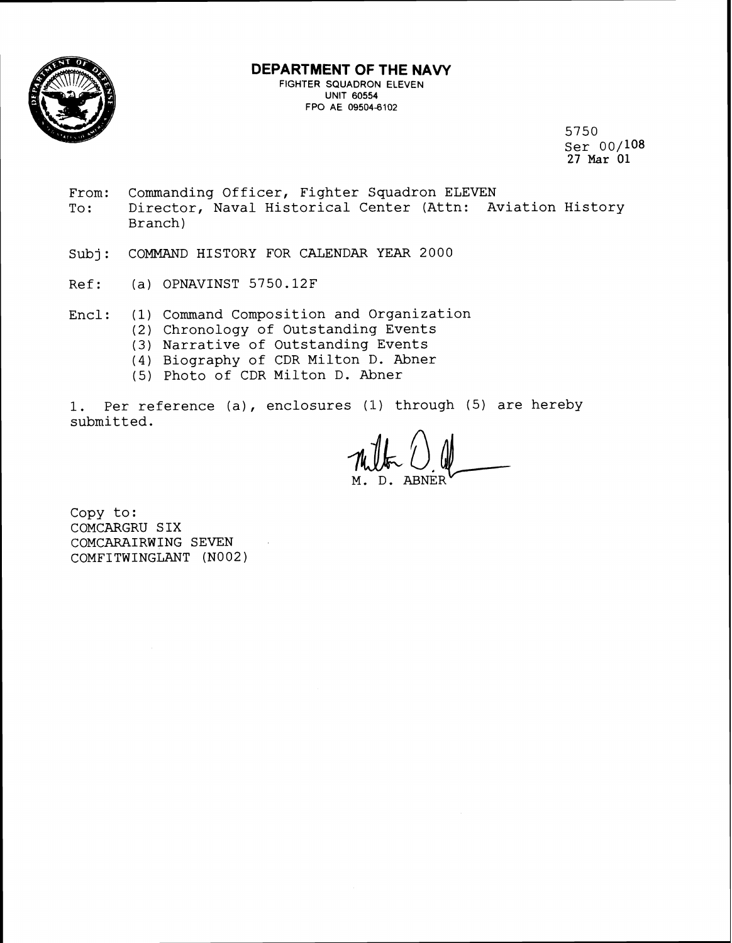

### **DEPARTMENT OF THE NAVY**

**FIGHTER SQUADRON ELEVEN UNIT** 60554 FPO AE 09504-6102

> 5750 Ser 00/108 27 Mar 01

- From: Commanding Officer, Fighter Squadron ELEVEN To: Director, Naval Historical Center (Attn: Aviation History Branch)
- Subj: COMMAND HISTORY FOR CALENDAR YEAR 2000
- Ref: (a) OPNAVINST 5750.12F
- Encl: (1) Command Composition and Organization
	- (2) Chronology of Outstanding Events
	- (3) Narrative of Outstanding Events
	- (4) Biography of CDR Milton D. Abner
	- (5) Photo of CDR Milton D. Abner

1. Per reference (a), enclosures (1) through (5) are hereby submitted.

Copy to: COMCARGRU SIX COMCARAIRWING SEVEN COMFITWINGLANT (N002)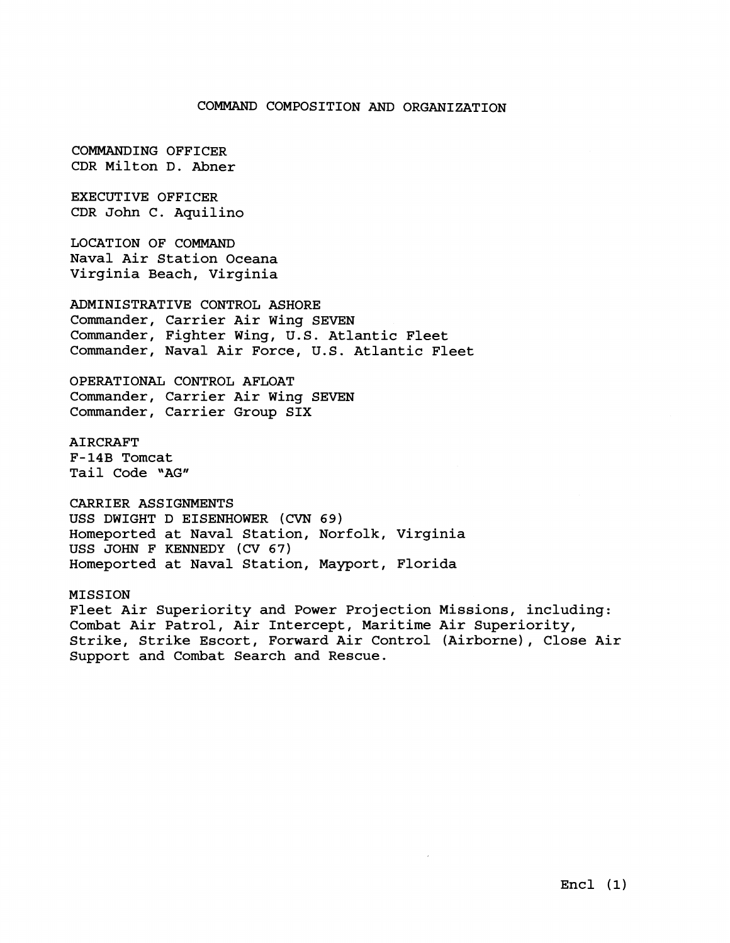#### COMMAND COMPOSITION *AND* ORGANIZATION

COMMANDING OFFICER CDR Milton D. Abner

EXECUTIVE OFFICER CDR John C. Aquilino

LOCATION OF COMMAND Naval Air Station Oceana Virginia Beach, Virginia

ADMINISTRATIVE CONTROL ASHORE Commander, Carrier Air Wing SEVEN Commander, Fighter Wing, U.S. Atlantic Fleet Commander, Naval Air Force, U.S. Atlantic Fleet

OPERATIONAL CONTROL AFLOAT Commander, Carrier Air Wing SEVEN Commander, Carrier Group SIX

AIRCRAFT F-14B Tomcat Tail Code "AG"

CARRIER ASSIGNMENTS USS DWIGHT D EISENHOWER (CVN 69) Homeported at Naval Station, Norfolk, Virginia USS JOHN F KENNEDY (CV 67) Homeported at Naval Station, Mayport, Florida

MISSION Fleet Air Superiority and Power Projection Missions, including: Combat Air Patrol, Air Intercept, Maritime Air Superiority, Strike, Strike Escort, Forward Air Control (Airborne), Close Air Support and Combat Search and Rescue.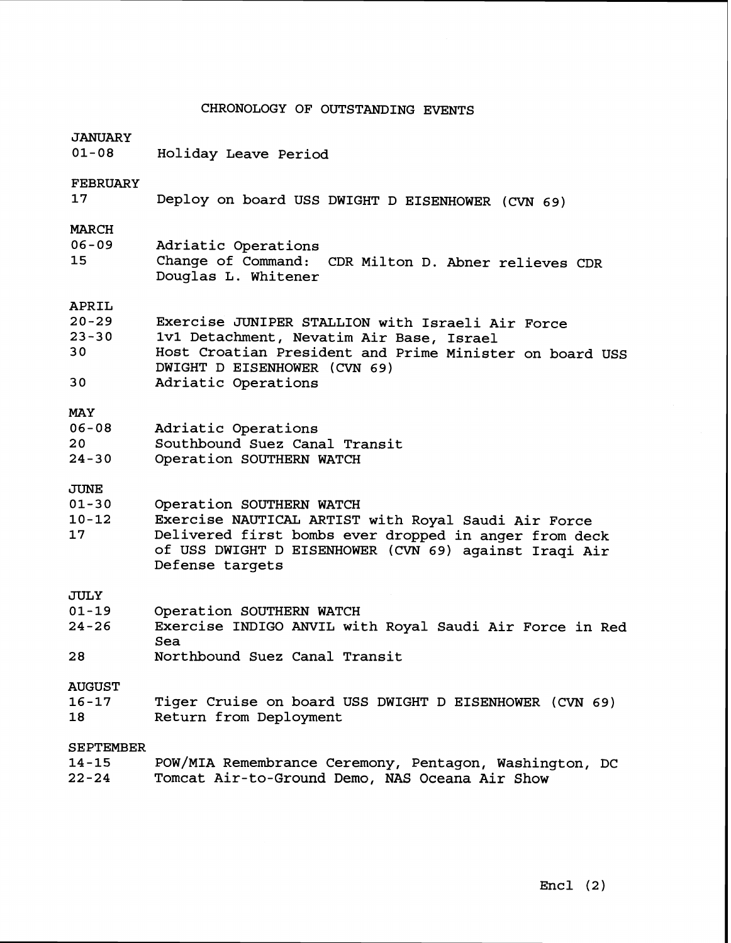## CHRONOLOGY OF OUTSTANDING EVENTS

| <b>JANUARY</b><br>$01 - 08$                 | Holiday Leave Period                                                                                                                                                                                                 |  |  |
|---------------------------------------------|----------------------------------------------------------------------------------------------------------------------------------------------------------------------------------------------------------------------|--|--|
| <b>FEBRUARY</b><br>17                       | Deploy on board USS DWIGHT D EISENHOWER (CVN 69)                                                                                                                                                                     |  |  |
| <b>MARCH</b><br>$06 - 09$<br>15             | Adriatic Operations<br>Change of Command: CDR Milton D. Abner relieves CDR<br>Douglas L. Whitener                                                                                                                    |  |  |
| APRIL<br>$20 - 29$<br>$23 - 30$<br>30<br>30 | Exercise JUNIPER STALLION with Israeli Air Force<br>1v1 Detachment, Nevatim Air Base, Israel<br>Host Croatian President and Prime Minister on board USS<br>DWIGHT D EISENHOWER (CVN 69)<br>Adriatic Operations       |  |  |
| <b>MAY</b><br>$06 - 08$<br>20<br>$24 - 30$  | Adriatic Operations<br>Southbound Suez Canal Transit<br>Operation SOUTHERN WATCH                                                                                                                                     |  |  |
| <b>JUNE</b><br>$01 - 30$<br>$10 - 12$<br>17 | Operation SOUTHERN WATCH<br>Exercise NAUTICAL ARTIST with Royal Saudi Air Force<br>Delivered first bombs ever dropped in anger from deck<br>of USS DWIGHT D EISENHOWER (CVN 69) against Iraqi Air<br>Defense targets |  |  |
| JULY<br>$01 - 19$<br>$24 - 26$<br>28        | Operation SOUTHERN WATCH<br>Exercise INDIGO ANVIL with Royal Saudi Air Force in Red<br>Sea<br>Northbound Suez Canal Transit                                                                                          |  |  |
| <b>AUGUST</b><br>$16 - 17$<br>18            | Tiger Cruise on board USS DWIGHT D EISENHOWER (CVN 69)<br>Return from Deployment                                                                                                                                     |  |  |
| <b>SEPTEMBER</b><br>$14 - 15$<br>$22 - 24$  | POW/MIA Remembrance Ceremony, Pentagon, Washington, DC<br>Tomcat Air-to-Ground Demo, NAS Oceana Air Show                                                                                                             |  |  |
|                                             |                                                                                                                                                                                                                      |  |  |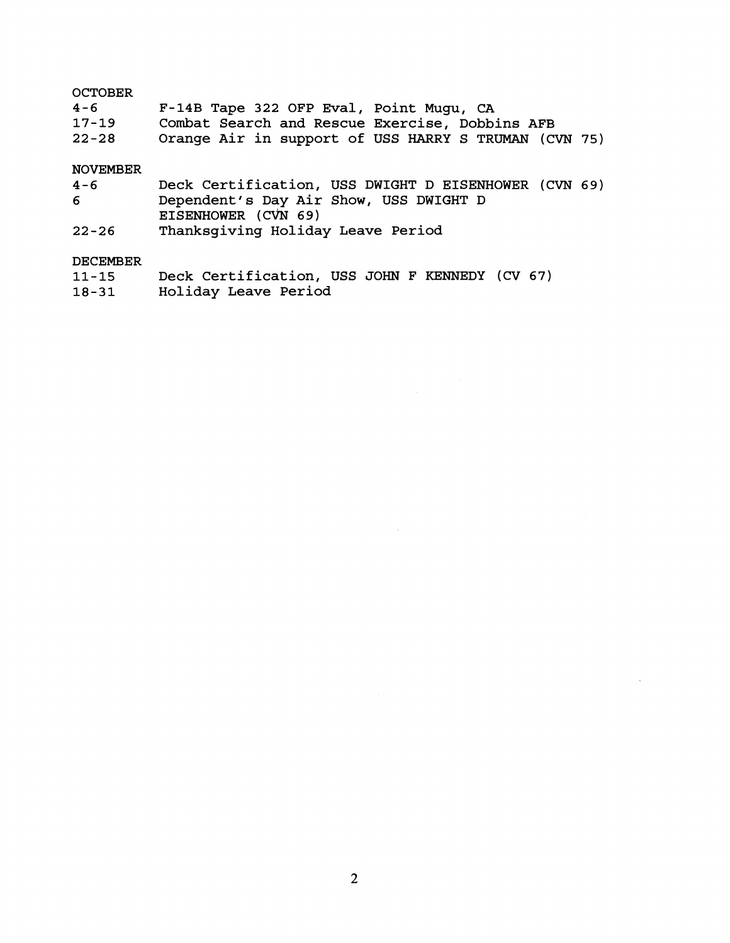#### **OCTOBER**

| $4 - 6$   | F-14B Tape 322 OFP Eval, Point Mugu, CA              |
|-----------|------------------------------------------------------|
| $17 - 19$ | Combat Search and Rescue Exercise, Dobbins AFB       |
| $22 - 28$ | Orange Air in support of USS HARRY S TRUMAN (CVN 75) |

# NOVEMBER

| $4 - 6$   | Deck Certification, USS DWIGHT D EISENHOWER (CVN 69) |
|-----------|------------------------------------------------------|
| 6         | Dependent's Day Air Show, USS DWIGHT D               |
|           | EISENHOWER (CVN 69)                                  |
| $22 - 26$ | Thanksqiving Holiday Leave Period                    |

#### DECEMBER

| $11 - 15$ | Deck Certification, USS JOHN F KENNEDY (CV 67) |  |
|-----------|------------------------------------------------|--|
| $18 - 31$ | Holiday Leave Period                           |  |

 $\sim 10^6$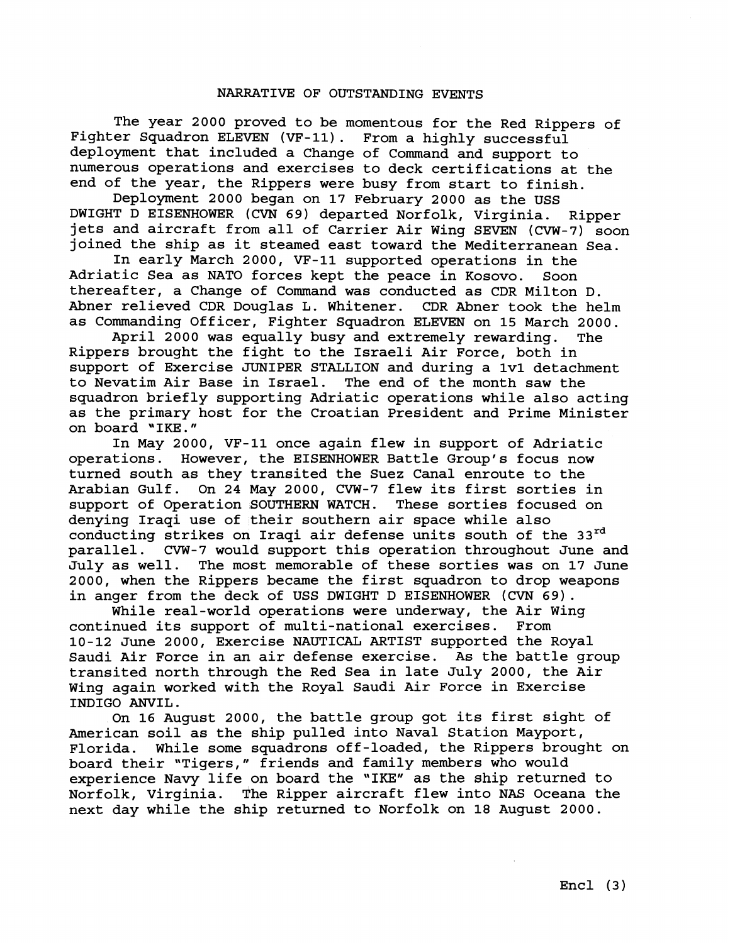#### NARRATIVE OF OUTSTANDING EVENTS

The year 2000 proved to be momentous for the Red Rippers of Fighter Squadron ELEVEN (VF-11). From a highly successful deployment that included a Change of Command and support to numerous operations and exercises to deck certifications at the end of the year, the Rippers were busy from start to finish.

Deployment 2000 began on 17 February 2000 as the USS DWIGHT D EISENHOWER (CVN 69) departed Norfolk, Virginia. Ripper jets and aircraft from all of Carrier Air Wing SEVEN (CVW-7) soon joined the ship as it steamed east toward the Mediterranean Sea.

In early March 2000, VF-11 supported operations in the Adriatic Sea as NATO forces kept the peace in Kosovo. Soon thereafter, a Change of Command was conducted as CDR Milton D. Abner relieved CDR Douglas L. Whitener. CDR Abner took the helm as Commanding Officer, Fighter Squadron ELEVEN on 15 March 2000.

April 2000 was equally busy and extremely rewarding. The Rippers brought the fight to the Israeli Air Force, both in support of Exercise JUNIPER STALLION and during a 1v1 detachment<br>to Nevatim Air Base in Israel. The end of the month saw the to Nevatim Air Base in Israel. squadron briefly supporting Adriatic operations while also acting as the primary host for the Croatian President and Prime Minister on board "IKE."

In May 2000, VF-11 once again flew in support of Adriatic operations. However, the EISENHOWER Battle Group's focus now turned south as they transited the Suez Canal enroute to the Arabian Gulf. On 24 May 2000, CVW-7 flew its first sorties in support of Operation SOUTHERN WATCH. These sorties focused on denying Iraqi use of their southern air space while also conducting strikes on Iraqi air defense units south of the 33<sup>rd</sup> parallel. CVW-7 would support this operation throughout June a CVW-7 would support this operation throughout June and July as well. The most memorable of these sorties was on 17 June 2000, when the Rippers became the first squadron to drop weapons in anger from the deck of USS DWIGHT D EISENHOWER (CVN 69).

While real-world operations were underway, the Air Wing continued its support of multi-national exercises. From 10-12 June 2000, Exercise NAUTICAL ARTIST supported the Royal Saudi Air Force in an air defense exercise. As the battle group transited north through the Red Sea in late July 2000, the Air Wing again worked with the Royal Saudi Air Force in Exercise INDIGO ANVIL.

On 16 August 2000, the battle group got its first sight of American soil as the ship pulled into Naval Station Mayport, Florida. While some squadrons off-loaded, the Rippers brought on board their "Tigers," friends and family members who would experience Navy life on board the "IKE" as the ship returned to Norfolk, Virginia. The Ripper aircraft flew into NAS Oceana the next day while the ship returned to Norfolk on 18 August 2000.